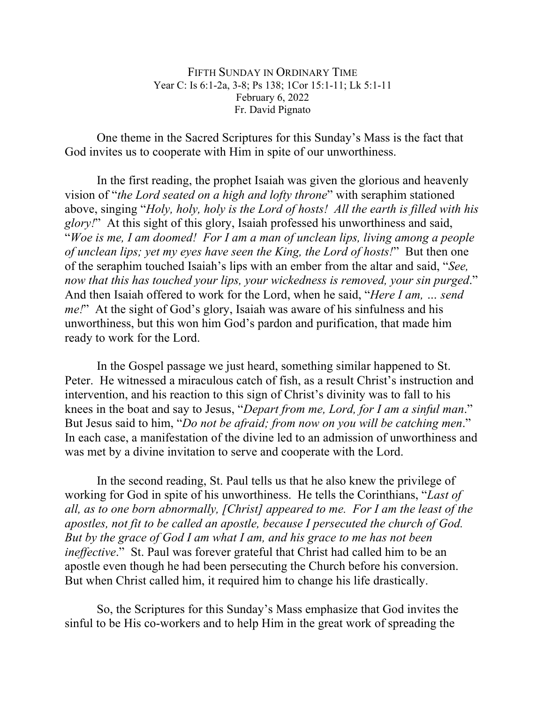FIFTH SUNDAY IN ORDINARY TIME Year C: Is 6:1-2a, 3-8; Ps 138; 1Cor 15:1-11; Lk 5:1-11 February 6, 2022 Fr. David Pignato

One theme in the Sacred Scriptures for this Sunday's Mass is the fact that God invites us to cooperate with Him in spite of our unworthiness.

In the first reading, the prophet Isaiah was given the glorious and heavenly vision of "*the Lord seated on a high and lofty throne*" with seraphim stationed above, singing "*Holy, holy, holy is the Lord of hosts! All the earth is filled with his glory!*" At this sight of this glory, Isaiah professed his unworthiness and said, "*Woe is me, I am doomed! For I am a man of unclean lips, living among a people of unclean lips; yet my eyes have seen the King, the Lord of hosts!*" But then one of the seraphim touched Isaiah's lips with an ember from the altar and said, "*See, now that this has touched your lips, your wickedness is removed, your sin purged*." And then Isaiah offered to work for the Lord, when he said, "*Here I am, … send me!*" At the sight of God's glory, Isaiah was aware of his sinfulness and his unworthiness, but this won him God's pardon and purification, that made him ready to work for the Lord.

In the Gospel passage we just heard, something similar happened to St. Peter. He witnessed a miraculous catch of fish, as a result Christ's instruction and intervention, and his reaction to this sign of Christ's divinity was to fall to his knees in the boat and say to Jesus, "*Depart from me, Lord, for I am a sinful man*." But Jesus said to him, "*Do not be afraid; from now on you will be catching men*." In each case, a manifestation of the divine led to an admission of unworthiness and was met by a divine invitation to serve and cooperate with the Lord.

In the second reading, St. Paul tells us that he also knew the privilege of working for God in spite of his unworthiness. He tells the Corinthians, "*Last of all, as to one born abnormally, [Christ] appeared to me. For I am the least of the apostles, not fit to be called an apostle, because I persecuted the church of God. But by the grace of God I am what I am, and his grace to me has not been ineffective.*" St. Paul was forever grateful that Christ had called him to be an apostle even though he had been persecuting the Church before his conversion. But when Christ called him, it required him to change his life drastically.

So, the Scriptures for this Sunday's Mass emphasize that God invites the sinful to be His co-workers and to help Him in the great work of spreading the